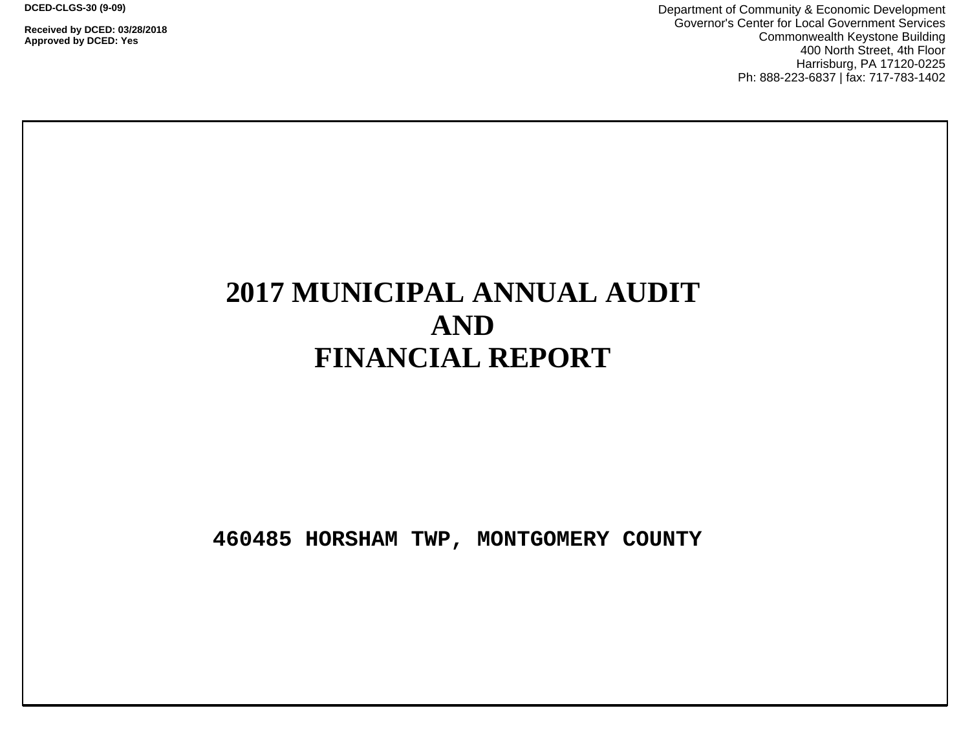**DCED-CLGS-30 (9-09)**

**Received by DCED: 03/28/2018 Approved by DCED: Yes**

Department of Community & Economic Development Governor's Center for Local Government Services Commonwealth Keystone Building 400 North Street, 4th Floor Harrisburg, PA 17120-0225 Ph: 888-223-6837 | fax: 717-783-1402

# **2017 MUNICIPAL ANNUAL AUDIT AND FINANCIAL REPORT**

**460485 HORSHAM TWP, MONTGOMERY COUNTY**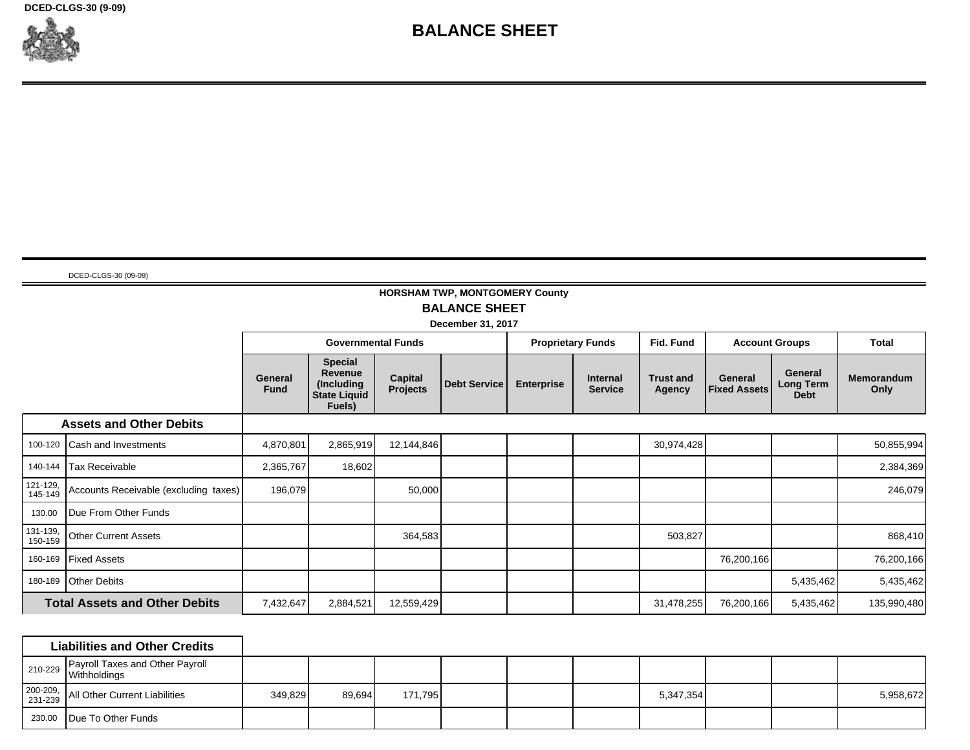**DCED-CLGS-30 (9-09)**



# **BALANCE SHEET**

DCED-CLGS-30 (09-09)

л

## **HORSHAM TWP, MONTGOMERY County BALANCE SHEET**

**December 31, 2017**

|                     |                                       |                               | <b>Governmental Funds</b>                                                |                            |                     |                   | <b>Proprietary Funds</b>          | Fid. Fund                  |                                | <b>Account Groups</b>                      | Total                     |
|---------------------|---------------------------------------|-------------------------------|--------------------------------------------------------------------------|----------------------------|---------------------|-------------------|-----------------------------------|----------------------------|--------------------------------|--------------------------------------------|---------------------------|
|                     |                                       | <b>General</b><br><b>Fund</b> | <b>Special</b><br>Revenue<br>(Including<br><b>State Liquid</b><br>Fuels) | Capital<br><b>Projects</b> | <b>Debt Service</b> | <b>Enterprise</b> | <b>Internal</b><br><b>Service</b> | <b>Trust and</b><br>Agency | General<br><b>Fixed Assets</b> | General<br><b>Long Term</b><br><b>Debt</b> | <b>Memorandum</b><br>Only |
|                     | <b>Assets and Other Debits</b>        |                               |                                                                          |                            |                     |                   |                                   |                            |                                |                                            |                           |
| 100-120             | <b>Cash and Investments</b>           | 4,870,801                     | 2,865,919                                                                | 12,144,846                 |                     |                   |                                   | 30,974,428                 |                                |                                            | 50,855,994                |
| 140-144             | Tax Receivable                        | 2,365,767                     | 18,602                                                                   |                            |                     |                   |                                   |                            |                                |                                            | 2,384,369                 |
| 121-129,<br>145-149 | Accounts Receivable (excluding taxes) | 196,079                       |                                                                          | 50,000                     |                     |                   |                                   |                            |                                |                                            | 246,079                   |
| 130.00              | Due From Other Funds                  |                               |                                                                          |                            |                     |                   |                                   |                            |                                |                                            |                           |
| 131-139,<br>150-159 | <b>Other Current Assets</b>           |                               |                                                                          | 364,583                    |                     |                   |                                   | 503,827                    |                                |                                            | 868,410                   |
| 160-169             | <b>Fixed Assets</b>                   |                               |                                                                          |                            |                     |                   |                                   |                            | 76,200,166                     |                                            | 76,200,166                |
| 180-189             | <b>Other Debits</b>                   |                               |                                                                          |                            |                     |                   |                                   |                            |                                | 5,435,462                                  | 5,435,462                 |
|                     | <b>Total Assets and Other Debits</b>  | 7,432,647                     | 2,884,521                                                                | 12,559,429                 |                     |                   |                                   | 31,478,255                 | 76,200,166                     | 5,435,462                                  | 135,990,480               |

|                     | <b>Liabilities and Other Credits</b>                               |         |        |         |  |           |  |           |
|---------------------|--------------------------------------------------------------------|---------|--------|---------|--|-----------|--|-----------|
|                     | Payroll Taxes and Other Payroll<br><sup>210-229</sup> Withholdings |         |        |         |  |           |  |           |
| 200-209,<br>231-239 | All Other Current Liabilities                                      | 349,829 | 89.694 | 171,795 |  | 5,347,354 |  | 5,958,672 |
| 230.00              | Due To Other Funds                                                 |         |        |         |  |           |  |           |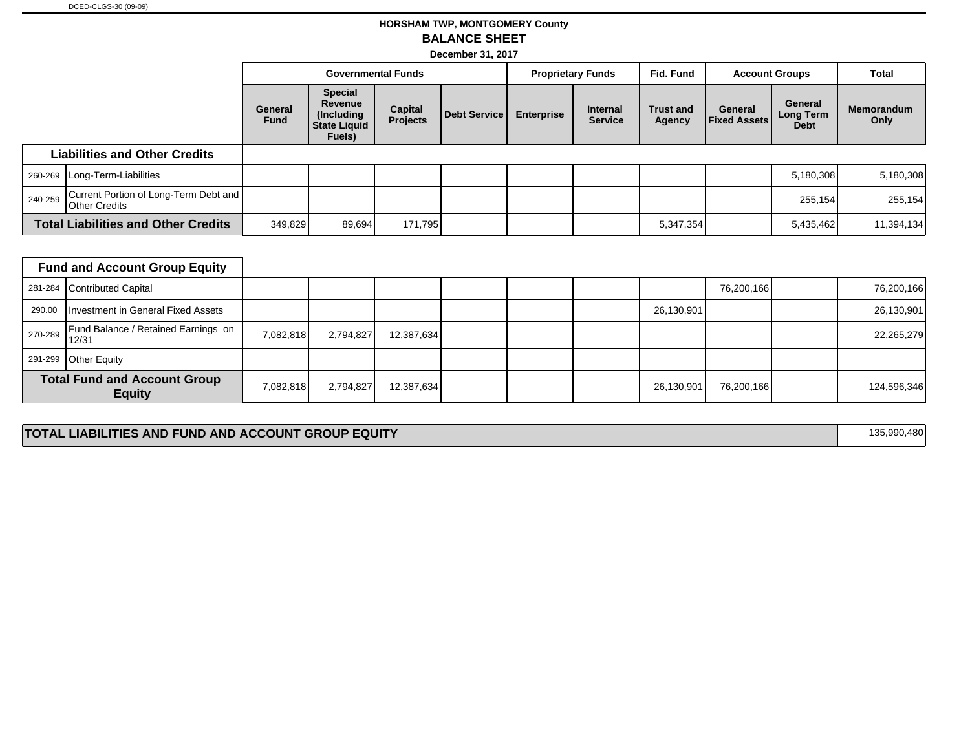## **HORSHAM TWP, MONTGOMERY County BALANCE SHEET**

**December 31, 2017**

|         |                                                        | <b>Governmental Funds</b> |                                                                          | <b>Proprietary Funds</b>          |              | Fid. Fund         | <b>Account Groups</b>             |                            | Total                          |                                     |                           |
|---------|--------------------------------------------------------|---------------------------|--------------------------------------------------------------------------|-----------------------------------|--------------|-------------------|-----------------------------------|----------------------------|--------------------------------|-------------------------------------|---------------------------|
|         |                                                        | General<br><b>Fund</b>    | <b>Special</b><br>Revenue<br>(Including<br><b>State Liquid</b><br>Fuels) | <b>Capital</b><br><b>Projects</b> | Debt Service | <b>Enterprise</b> | <b>Internal</b><br><b>Service</b> | <b>Trust and</b><br>Agency | General<br><b>Fixed Assets</b> | General<br>Long Term<br><b>Debt</b> | <b>Memorandum</b><br>Only |
|         | <b>Liabilities and Other Credits</b>                   |                           |                                                                          |                                   |              |                   |                                   |                            |                                |                                     |                           |
|         | 260-269   Long-Term-Liabilities                        |                           |                                                                          |                                   |              |                   |                                   |                            |                                | 5,180,308                           | 5,180,308                 |
| 240-259 | Current Portion of Long-Term Debt and<br>Other Credits |                           |                                                                          |                                   |              |                   |                                   |                            |                                | 255,154                             | 255,154                   |
|         | <b>Total Liabilities and Other Credits</b>             |                           | 349,829<br>89,694                                                        | 171,795                           |              |                   |                                   | 5,347,354                  |                                | 5,435,462                           | 11,394,134                |

|        | <b>Fund and Account Group Equity</b>                     |           |           |            |  |            |            |             |
|--------|----------------------------------------------------------|-----------|-----------|------------|--|------------|------------|-------------|
|        | 281-284 Contributed Capital                              |           |           |            |  |            | 76,200,166 | 76,200,166  |
| 290.00 | Investment in General Fixed Assets                       |           |           |            |  | 26,130,901 |            | 26,130,901  |
|        | Fund Balance / Retained Earnings on<br>$270-289$ $12/31$ | 7,082,818 | 2,794,827 | 12,387,634 |  |            |            | 22,265,279  |
|        | 291-299 Other Equity                                     |           |           |            |  |            |            |             |
|        | <b>Total Fund and Account Group</b><br><b>Equity</b>     | 7,082,818 | 2,794,827 | 12,387,634 |  | 26,130,901 | 76,200,166 | 124,596,346 |

#### **TOTAL LIABILITIES AND FUND AND ACCOUNT GROUP EQUITY 135,990,480**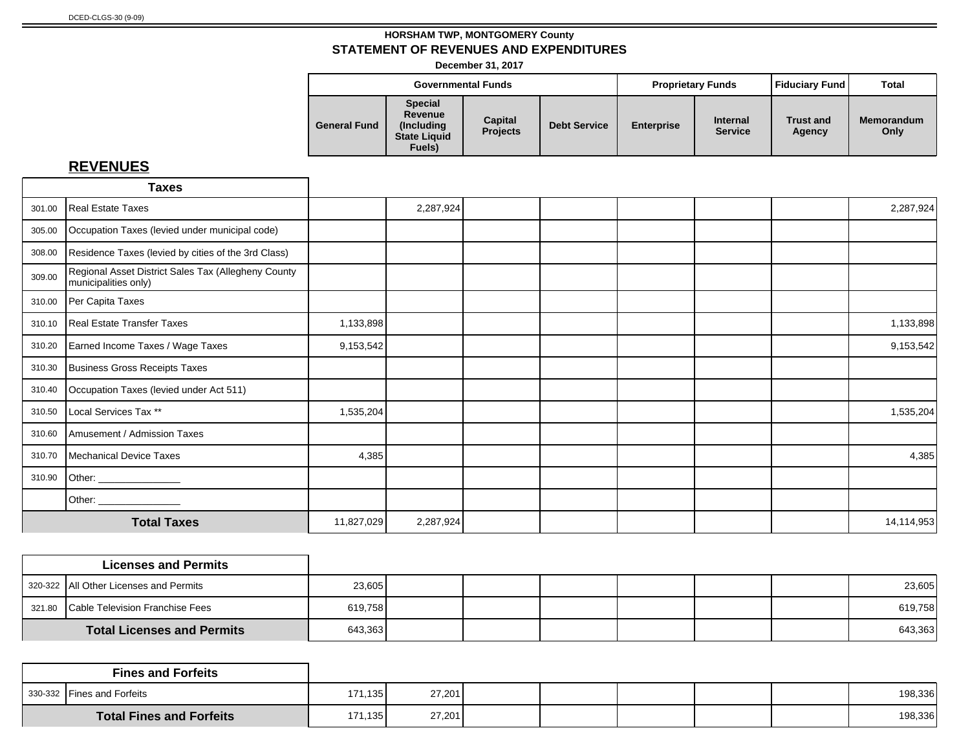**December 31, 2017**

|                     | <b>Governmental Funds</b>                                                 |                            |                     | <b>Proprietary Funds</b> |                                   | Fiduciary Fund             | <b>Total</b>              |
|---------------------|---------------------------------------------------------------------------|----------------------------|---------------------|--------------------------|-----------------------------------|----------------------------|---------------------------|
| <b>General Fund</b> | <b>Special</b><br>Revenue<br>(Includina)<br><b>State Liquid</b><br>Fuels) | Capital<br><b>Projects</b> | <b>Debt Service</b> | <b>Enterprise</b>        | <b>Internal</b><br><b>Service</b> | <b>Trust and</b><br>Agency | <b>Memorandum</b><br>Only |

|        | <b>Taxes</b>                                                                |            |           |  |  |            |
|--------|-----------------------------------------------------------------------------|------------|-----------|--|--|------------|
| 301.00 | Real Estate Taxes                                                           |            | 2,287,924 |  |  | 2,287,924  |
| 305.00 | Occupation Taxes (levied under municipal code)                              |            |           |  |  |            |
| 308.00 | Residence Taxes (levied by cities of the 3rd Class)                         |            |           |  |  |            |
| 309.00 | Regional Asset District Sales Tax (Allegheny County<br>municipalities only) |            |           |  |  |            |
| 310.00 | Per Capita Taxes                                                            |            |           |  |  |            |
| 310.10 | Real Estate Transfer Taxes                                                  | 1,133,898  |           |  |  | 1,133,898  |
| 310.20 | Earned Income Taxes / Wage Taxes                                            | 9,153,542  |           |  |  | 9,153,542  |
| 310.30 | Business Gross Receipts Taxes                                               |            |           |  |  |            |
| 310.40 | Occupation Taxes (levied under Act 511)                                     |            |           |  |  |            |
| 310.50 | Local Services Tax **                                                       | 1,535,204  |           |  |  | 1,535,204  |
| 310.60 | Amusement / Admission Taxes                                                 |            |           |  |  |            |
| 310.70 | Mechanical Device Taxes                                                     | 4,385      |           |  |  | 4,385      |
| 310.90 | Other: ______________                                                       |            |           |  |  |            |
|        |                                                                             |            |           |  |  |            |
|        | <b>Total Taxes</b>                                                          | 11,827,029 | 2,287,924 |  |  | 14,114,953 |

| <b>Licenses and Permits</b>            |         |  |  |  |         |
|----------------------------------------|---------|--|--|--|---------|
| 320-322 All Other Licenses and Permits | 23,605  |  |  |  | 23,605  |
| 321.80 Cable Television Franchise Fees | 619,758 |  |  |  | 619,758 |
| <b>Total Licenses and Permits</b>      | 643,363 |  |  |  | 643,363 |

|                                 | <b>Fines and Forfeits</b>  |         |        |  |  |         |
|---------------------------------|----------------------------|---------|--------|--|--|---------|
|                                 | 330-332 Fines and Forfeits | 171,135 | 27,201 |  |  | 198,336 |
| <b>Total Fines and Forfeits</b> |                            | 171,135 | 27,201 |  |  | 198,336 |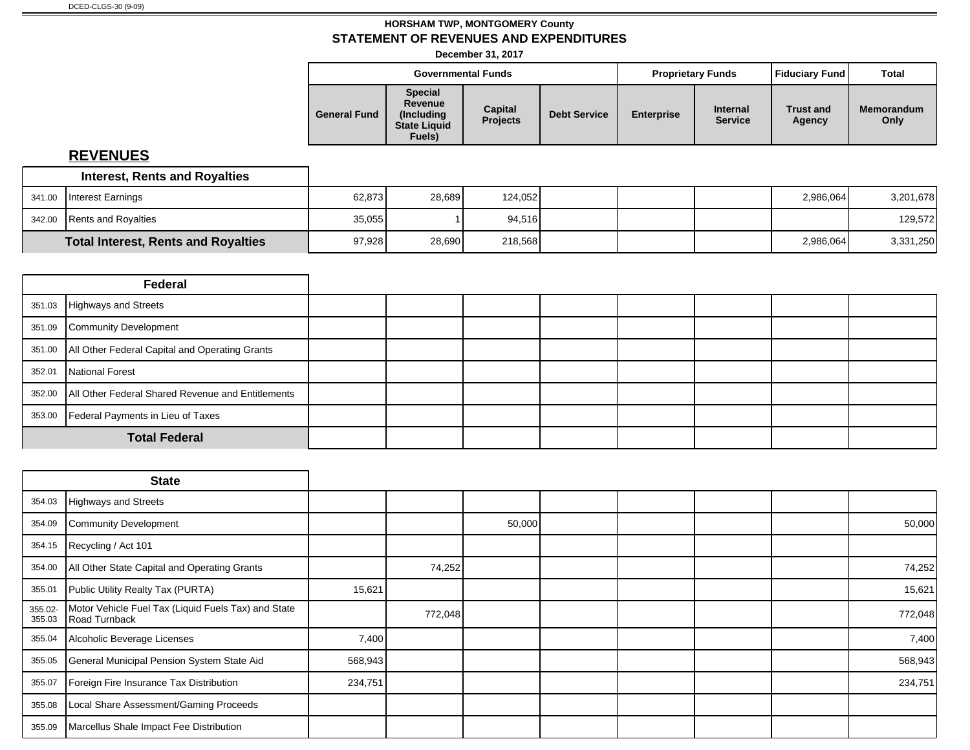**December 31, 2017**

|                     |                                                                           | <b>Governmental Funds</b>  |                     |                   | <b>Proprietary Funds</b>          | <b>Fiduciary Fund</b>      | <b>Total</b>              |
|---------------------|---------------------------------------------------------------------------|----------------------------|---------------------|-------------------|-----------------------------------|----------------------------|---------------------------|
| <b>General Fund</b> | <b>Special</b><br>Revenue<br>(Including)<br><b>State Liquid</b><br>Fuels) | Capital<br><b>Projects</b> | <b>Debt Service</b> | <b>Enterprise</b> | <b>Internal</b><br><b>Service</b> | <b>Trust and</b><br>Agency | <b>Memorandum</b><br>Only |
|                     |                                                                           |                            |                     |                   |                                   |                            |                           |

|        | <b>Interest, Rents and Royalties</b>       |        |        |         |  |           |           |
|--------|--------------------------------------------|--------|--------|---------|--|-----------|-----------|
| 341.00 | Interest Earnings                          | 62.873 | 28.689 | 124.052 |  | 2.986.064 | 3,201,678 |
|        | 342.00 Rents and Royalties                 | 35,055 |        | 94.516  |  |           | 129,572   |
|        | <b>Total Interest, Rents and Royalties</b> | 97,928 | 28,690 | 218,568 |  | 2,986,064 | 3,331,250 |

|        | Federal                                                 |  |  |  |  |
|--------|---------------------------------------------------------|--|--|--|--|
| 351.03 | Highways and Streets                                    |  |  |  |  |
| 351.09 | Community Development                                   |  |  |  |  |
|        | 351.00   All Other Federal Capital and Operating Grants |  |  |  |  |
| 352.01 | National Forest                                         |  |  |  |  |
| 352.00 | All Other Federal Shared Revenue and Entitlements       |  |  |  |  |
| 353.00 | Federal Payments in Lieu of Taxes                       |  |  |  |  |
|        | <b>Total Federal</b>                                    |  |  |  |  |

|                   | <b>State</b>                                                         |         |         |        |  |  |         |
|-------------------|----------------------------------------------------------------------|---------|---------|--------|--|--|---------|
|                   | 354.03 Highways and Streets                                          |         |         |        |  |  |         |
| 354.09            | Community Development                                                |         |         | 50,000 |  |  | 50,000  |
| 354.15            | Recycling / Act 101                                                  |         |         |        |  |  |         |
| 354.00            | All Other State Capital and Operating Grants                         |         | 74,252  |        |  |  | 74,252  |
| 355.01            | Public Utility Realty Tax (PURTA)                                    | 15,621  |         |        |  |  | 15,621  |
| 355.02-<br>355.03 | Motor Vehicle Fuel Tax (Liquid Fuels Tax) and State<br>Road Turnback |         | 772,048 |        |  |  | 772,048 |
| 355.04            | Alcoholic Beverage Licenses                                          | 7,400   |         |        |  |  | 7,400   |
| 355.05            | General Municipal Pension System State Aid                           | 568,943 |         |        |  |  | 568,943 |
| 355.07            | Foreign Fire Insurance Tax Distribution                              | 234,751 |         |        |  |  | 234,751 |
| 355.08            | Local Share Assessment/Gaming Proceeds                               |         |         |        |  |  |         |
| 355.09            | Marcellus Shale Impact Fee Distribution                              |         |         |        |  |  |         |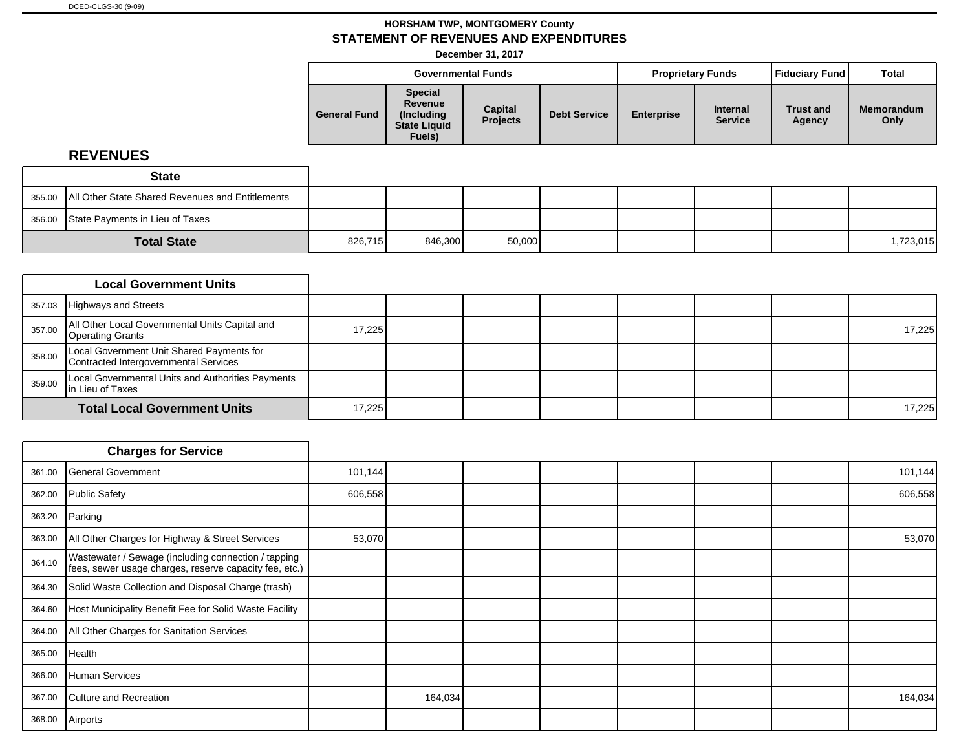**December 31, 2017**

|                     |                                                                           | <b>Governmental Funds</b>  |                     |                   | <b>Proprietary Funds</b>          | <b>Fiduciary Fund</b>      | <b>Total</b>              |
|---------------------|---------------------------------------------------------------------------|----------------------------|---------------------|-------------------|-----------------------------------|----------------------------|---------------------------|
| <b>General Fund</b> | <b>Special</b><br>Revenue<br>(Including)<br><b>State Liquid</b><br>Fuels) | Capital<br><b>Projects</b> | <b>Debt Service</b> | <b>Enterprise</b> | <b>Internal</b><br><b>Service</b> | <b>Trust and</b><br>Agency | <b>Memorandum</b><br>Only |

| <b>State</b>                                              |         |         |        |  |  |           |
|-----------------------------------------------------------|---------|---------|--------|--|--|-----------|
| 355.00   All Other State Shared Revenues and Entitlements |         |         |        |  |  |           |
| 356.00 State Payments in Lieu of Taxes                    |         |         |        |  |  |           |
| <b>Total State</b>                                        | 826,715 | 846,300 | 50,000 |  |  | 1,723,015 |

|        | <b>Local Government Units</b>                                                      |        |  |  |  |        |
|--------|------------------------------------------------------------------------------------|--------|--|--|--|--------|
| 357.03 | Highways and Streets                                                               |        |  |  |  |        |
| 357.00 | All Other Local Governmental Units Capital and<br>Operating Grants                 | 17,225 |  |  |  | 17,225 |
| 358.00 | Local Government Unit Shared Payments for<br>Contracted Intergovernmental Services |        |  |  |  |        |
| 359.00 | Local Governmental Units and Authorities Payments<br>In Lieu of Taxes              |        |  |  |  |        |
|        | <b>Total Local Government Units</b>                                                | 17,225 |  |  |  | 17,225 |

|        | <b>Charges for Service</b>                                                                                    |         |         |  |  |         |
|--------|---------------------------------------------------------------------------------------------------------------|---------|---------|--|--|---------|
| 361.00 | General Government                                                                                            | 101,144 |         |  |  | 101,144 |
| 362.00 | Public Safety                                                                                                 | 606,558 |         |  |  | 606,558 |
| 363.20 | Parking                                                                                                       |         |         |  |  |         |
| 363.00 | All Other Charges for Highway & Street Services                                                               | 53,070  |         |  |  | 53,070  |
| 364.10 | Wastewater / Sewage (including connection / tapping<br>fees, sewer usage charges, reserve capacity fee, etc.) |         |         |  |  |         |
| 364.30 | Solid Waste Collection and Disposal Charge (trash)                                                            |         |         |  |  |         |
| 364.60 | Host Municipality Benefit Fee for Solid Waste Facility                                                        |         |         |  |  |         |
| 364.00 | All Other Charges for Sanitation Services                                                                     |         |         |  |  |         |
| 365.00 | Health                                                                                                        |         |         |  |  |         |
| 366.00 | Human Services                                                                                                |         |         |  |  |         |
| 367.00 | Culture and Recreation                                                                                        |         | 164,034 |  |  | 164,034 |
| 368.00 | Airports                                                                                                      |         |         |  |  |         |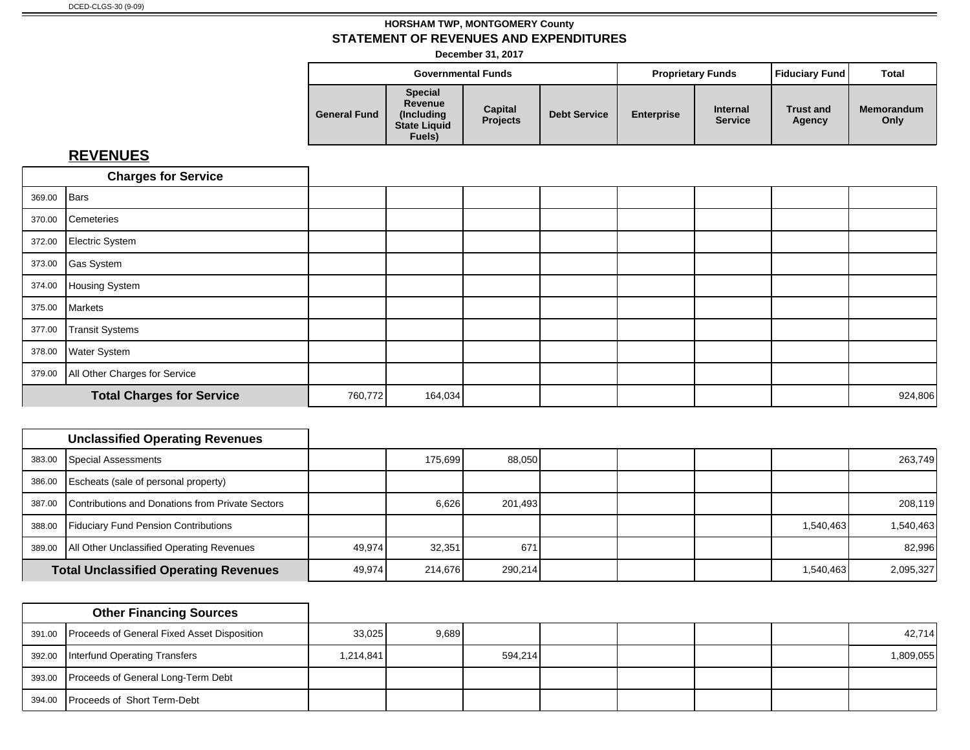**December 31, 2017**

|                     | <b>Governmental Funds</b>                                                 |                            |                     | <b>Proprietary Funds</b> |                                   | Fiduciary Fund             | Total                     |
|---------------------|---------------------------------------------------------------------------|----------------------------|---------------------|--------------------------|-----------------------------------|----------------------------|---------------------------|
| <b>General Fund</b> | <b>Special</b><br>Revenue<br>(Includina)<br><b>State Liquid</b><br>Fuels) | Capital<br><b>Projects</b> | <b>Debt Service</b> | <b>Enterprise</b>        | <b>Internal</b><br><b>Service</b> | <b>Trust and</b><br>Agency | <b>Memorandum</b><br>Only |

|             | <b>Charges for Service</b>           |  |                    |  |  |         |
|-------------|--------------------------------------|--|--------------------|--|--|---------|
| 369.00 Bars |                                      |  |                    |  |  |         |
|             | 370.00 Cemeteries                    |  |                    |  |  |         |
|             | 372.00 Electric System               |  |                    |  |  |         |
|             | 373.00 Gas System                    |  |                    |  |  |         |
|             | 374.00 Housing System                |  |                    |  |  |         |
|             | 375.00 Markets                       |  |                    |  |  |         |
| 377.00      | Transit Systems                      |  |                    |  |  |         |
|             | 378.00 Water System                  |  |                    |  |  |         |
|             | 379.00 All Other Charges for Service |  |                    |  |  |         |
|             | <b>Total Charges for Service</b>     |  | 760,772<br>164,034 |  |  | 924,806 |

|        | <b>Unclassified Operating Revenues</b>           |        |         |         |  |           |           |
|--------|--------------------------------------------------|--------|---------|---------|--|-----------|-----------|
| 383.00 | Special Assessments                              |        | 175.699 | 88,050  |  |           | 263,749   |
|        | 386.00 Escheats (sale of personal property)      |        |         |         |  |           |           |
| 387.00 | Contributions and Donations from Private Sectors |        | 6,626   | 201,493 |  |           | 208,119   |
| 388.00 | <b>Fiduciary Fund Pension Contributions</b>      |        |         |         |  | 1,540,463 | 1,540,463 |
| 389.00 | All Other Unclassified Operating Revenues        | 49.974 | 32,351  | 671     |  |           | 82,996    |
|        | <b>Total Unclassified Operating Revenues</b>     |        | 214,676 | 290,214 |  | 1,540,463 | 2,095,327 |

| <b>Other Financing Sources</b>                     |           |       |         |  |  |           |
|----------------------------------------------------|-----------|-------|---------|--|--|-----------|
| 391.00 Proceeds of General Fixed Asset Disposition | 33,025    | 9,689 |         |  |  | 42,714    |
| 392.00   Interfund Operating Transfers             | 1,214,841 |       | 594,214 |  |  | 1,809,055 |
| 393.00 Proceeds of General Long-Term Debt          |           |       |         |  |  |           |
| 394.00 Proceeds of Short Term-Debt                 |           |       |         |  |  |           |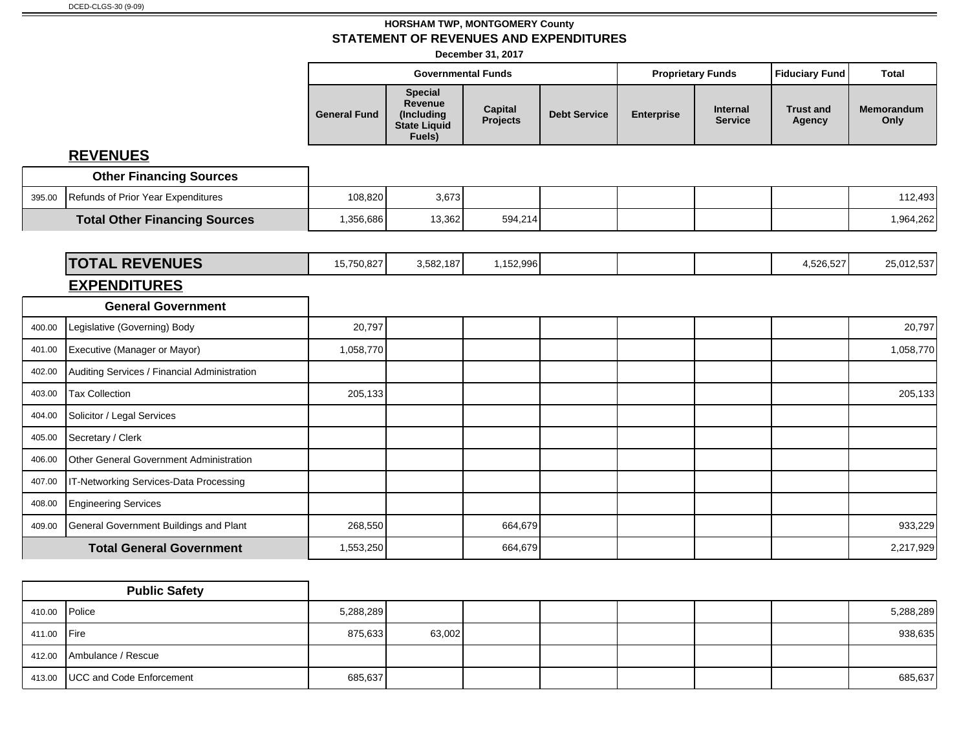**December 31, 2017**

|                                               |                     |                                                                   |                            |                           |                   |                            | <b>Fiduciary Fund</b>      | <b>Total</b>       |
|-----------------------------------------------|---------------------|-------------------------------------------------------------------|----------------------------|---------------------------|-------------------|----------------------------|----------------------------|--------------------|
|                                               | <b>General Fund</b> | <b>Special</b><br>Revenue<br>(Including<br>State Liquid<br>Fuels) | Capital<br><b>Projects</b> | <b>Debt Service</b>       | <b>Enterprise</b> | Internal<br><b>Service</b> | <b>Trust and</b><br>Agency | Memorandum<br>Only |
| <b>REVENUES</b>                               |                     |                                                                   |                            |                           |                   |                            |                            |                    |
| <b>Other Financing Sources</b>                |                     |                                                                   |                            |                           |                   |                            |                            |                    |
| Refunds of Prior Year Expenditures            | 108,820             | 3,673                                                             |                            |                           |                   |                            |                            | 112,493            |
| <b>Total Other Financing Sources</b>          | 1,356,686           | 13,362                                                            | 594,214                    |                           |                   |                            |                            | 1,964,262          |
|                                               |                     |                                                                   |                            |                           |                   |                            |                            |                    |
| <b>TOTAL REVENUES</b>                         | 15,750,827          | 3,582,187                                                         | 1,152,996                  |                           |                   |                            | 4,526,527                  | 25,012,537         |
| <b>EXPENDITURES</b>                           |                     |                                                                   |                            |                           |                   |                            |                            |                    |
| <b>General Government</b>                     |                     |                                                                   |                            |                           |                   |                            |                            |                    |
| Legislative (Governing) Body                  | 20,797              |                                                                   |                            |                           |                   |                            |                            | 20,797             |
| Executive (Manager or Mayor)                  | 1,058,770           |                                                                   |                            |                           |                   |                            |                            | 1,058,770          |
| Auditing Services / Financial Administration  |                     |                                                                   |                            |                           |                   |                            |                            |                    |
| <b>Tax Collection</b>                         | 205,133             |                                                                   |                            |                           |                   |                            |                            | 205,133            |
| Solicitor / Legal Services                    |                     |                                                                   |                            |                           |                   |                            |                            |                    |
| Secretary / Clerk                             |                     |                                                                   |                            |                           |                   |                            |                            |                    |
| Other General Government Administration       |                     |                                                                   |                            |                           |                   |                            |                            |                    |
| IT-Networking Services-Data Processing        |                     |                                                                   |                            |                           |                   |                            |                            |                    |
| <b>Engineering Services</b>                   |                     |                                                                   |                            |                           |                   |                            |                            |                    |
| <b>General Government Buildings and Plant</b> | 268,550             |                                                                   | 664,679                    |                           |                   |                            |                            | 933,229            |
| <b>Total General Government</b>               | 1,553,250           |                                                                   | 664,679                    |                           |                   |                            |                            | 2,217,929          |
|                                               |                     |                                                                   |                            | <b>Governmental Funds</b> |                   |                            | <b>Proprietary Funds</b>   |                    |

|               | <b>Public Safety</b>              |           |        |  |  |           |
|---------------|-----------------------------------|-----------|--------|--|--|-----------|
| 410.00 Police |                                   | 5,288,289 |        |  |  | 5,288,289 |
| 411.00 Fire   |                                   | 875,633   | 63,002 |  |  | 938,635   |
|               | 412.00 Ambulance / Rescue         |           |        |  |  |           |
|               | 413.00   UCC and Code Enforcement | 685,637   |        |  |  | 685,637   |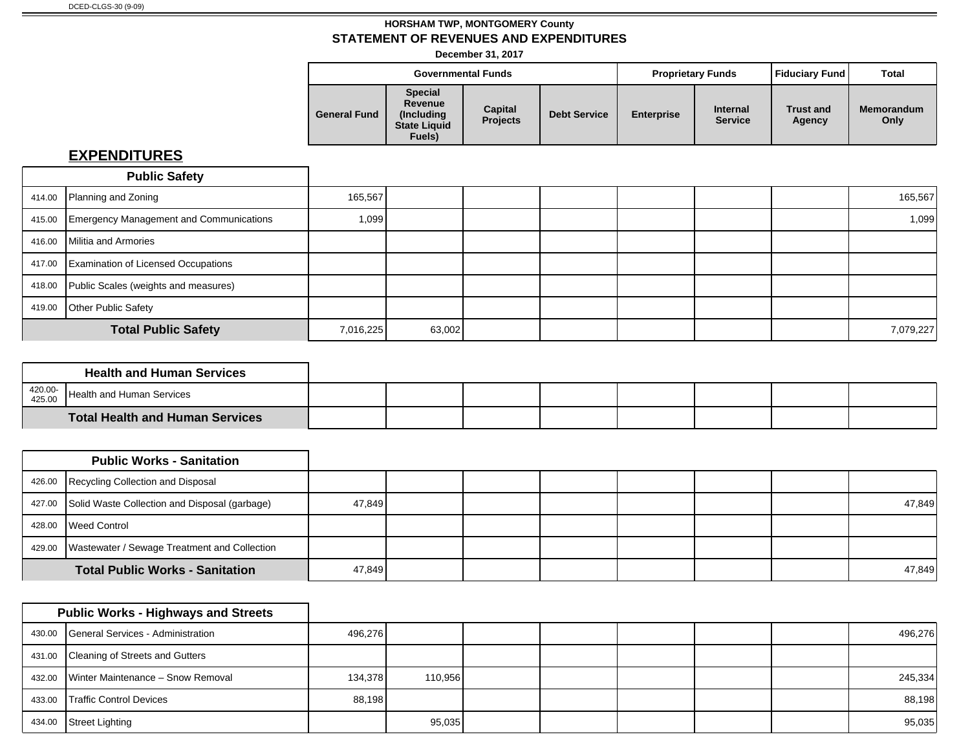**December 31, 2017**

|                     |                                                                           | <b>Governmental Funds</b>  |                     | <b>Proprietary Funds</b> |                                   | Fiduciary Fund             | <b>Total</b>              |
|---------------------|---------------------------------------------------------------------------|----------------------------|---------------------|--------------------------|-----------------------------------|----------------------------|---------------------------|
| <b>General Fund</b> | <b>Special</b><br>Revenue<br>(Includina)<br><b>State Liquid</b><br>Fuels) | Capital<br><b>Projects</b> | <b>Debt Service</b> | <b>Enterprise</b>        | <b>Internal</b><br><b>Service</b> | <b>Trust and</b><br>Agency | <b>Memorandum</b><br>Only |

|        | <b>Public Safety</b>                       |           |        |  |  |           |
|--------|--------------------------------------------|-----------|--------|--|--|-----------|
|        | 414.00 Planning and Zoning                 | 165,567   |        |  |  | 165,567   |
| 415.00 | Emergency Management and Communications    | 1,099     |        |  |  | 1,099     |
| 416.00 | Militia and Armories                       |           |        |  |  |           |
| 417.00 | <b>Examination of Licensed Occupations</b> |           |        |  |  |           |
| 418.00 | Public Scales (weights and measures)       |           |        |  |  |           |
| 419.00 | Other Public Safety                        |           |        |  |  |           |
|        | <b>Total Public Safety</b>                 | 7,016,225 | 63,002 |  |  | 7,079,227 |

|                   | <b>Health and Human Services</b>   |  |  |  |  |
|-------------------|------------------------------------|--|--|--|--|
| 420.00-<br>425.00 | <b>I</b> Health and Human Services |  |  |  |  |
|                   | Total Health and Human Services    |  |  |  |  |

|        | <b>Public Works - Sanitation</b>                     |        |  |  |  |        |
|--------|------------------------------------------------------|--------|--|--|--|--------|
|        | 426.00 Recycling Collection and Disposal             |        |  |  |  |        |
|        | 427.00 Solid Waste Collection and Disposal (garbage) | 47,849 |  |  |  | 47,849 |
| 428.00 | <b>I</b> Weed Control                                |        |  |  |  |        |
| 429.00 | Wastewater / Sewage Treatment and Collection         |        |  |  |  |        |
|        | <b>Total Public Works - Sanitation</b>               | 47,849 |  |  |  | 47,849 |

|        | <b>Public Works - Highways and Streets</b> |         |         |  |  |         |
|--------|--------------------------------------------|---------|---------|--|--|---------|
|        | 430.00 General Services - Administration   | 496,276 |         |  |  | 496,276 |
|        | 431.00 Cleaning of Streets and Gutters     |         |         |  |  |         |
|        | 432.00 Winter Maintenance - Snow Removal   | 134,378 | 110,956 |  |  | 245,334 |
| 433.00 | Traffic Control Devices                    | 88.198  |         |  |  | 88,198  |
| 434.00 | Street Lighting                            |         | 95,035  |  |  | 95,035  |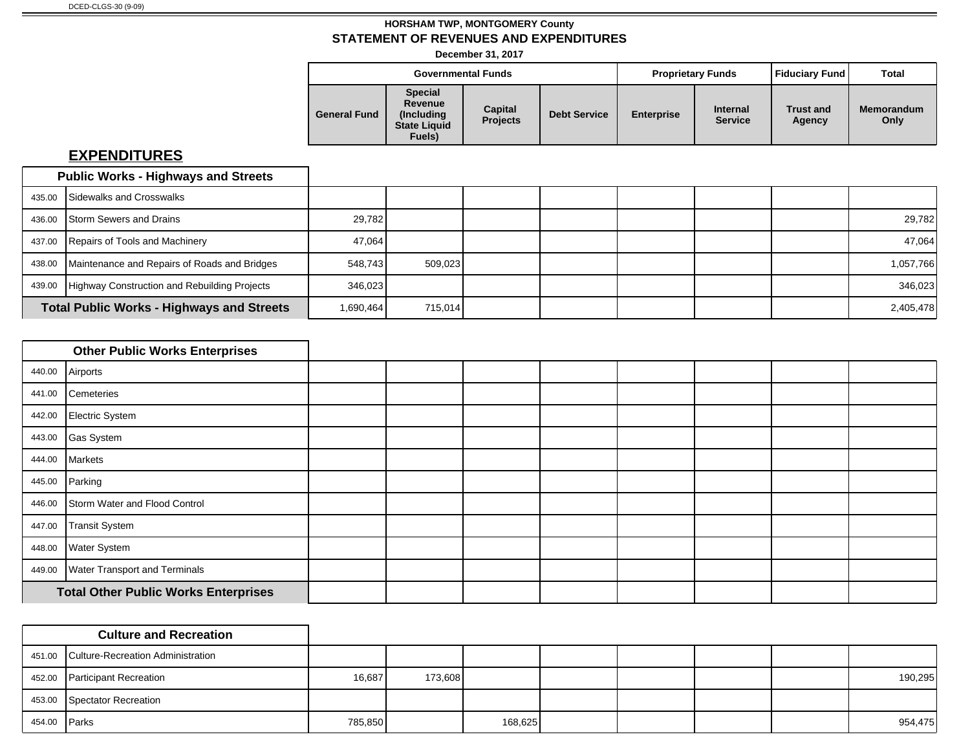**December 31, 2017**

|                     | <b>Governmental Funds</b><br><b>Special</b><br>Revenue<br>Capital<br>(Including) |                 |                     |                   | <b>Proprietary Funds</b>          | Fiduciary Fund             | Total                     |
|---------------------|----------------------------------------------------------------------------------|-----------------|---------------------|-------------------|-----------------------------------|----------------------------|---------------------------|
| <b>General Fund</b> | <b>State Liquid</b><br>Fuels)                                                    | <b>Projects</b> | <b>Debt Service</b> | <b>Enterprise</b> | <b>Internal</b><br><b>Service</b> | <b>Trust and</b><br>Agency | <b>Memorandum</b><br>Only |

|        | <b>Public Works - Highways and Streets</b>       |           |         |  |  |           |
|--------|--------------------------------------------------|-----------|---------|--|--|-----------|
|        | 435.00 Sidewalks and Crosswalks                  |           |         |  |  |           |
| 436.00 | <b>Storm Sewers and Drains</b>                   | 29,782    |         |  |  | 29,782    |
|        | 437.00 Repairs of Tools and Machinery            | 47.064    |         |  |  | 47,064    |
| 438.00 | Maintenance and Repairs of Roads and Bridges     | 548.743   | 509.023 |  |  | 1,057,766 |
| 439.00 | Highway Construction and Rebuilding Projects     | 346,023   |         |  |  | 346,023   |
|        | <b>Total Public Works - Highways and Streets</b> | 1,690,464 | 715,014 |  |  | 2,405,478 |

|        | <b>Other Public Works Enterprises</b>       |  |  |  |  |
|--------|---------------------------------------------|--|--|--|--|
| 440.00 | Airports                                    |  |  |  |  |
| 441.00 | Cemeteries                                  |  |  |  |  |
| 442.00 | Electric System                             |  |  |  |  |
|        | 443.00 Gas System                           |  |  |  |  |
| 444.00 | Markets                                     |  |  |  |  |
| 445.00 | Parking                                     |  |  |  |  |
| 446.00 | Storm Water and Flood Control               |  |  |  |  |
| 447.00 | Transit System                              |  |  |  |  |
| 448.00 | <b>Water System</b>                         |  |  |  |  |
| 449.00 | <b>Water Transport and Terminals</b>        |  |  |  |  |
|        | <b>Total Other Public Works Enterprises</b> |  |  |  |  |

|              | <b>Culture and Recreation</b>            |         |         |         |  |  |         |
|--------------|------------------------------------------|---------|---------|---------|--|--|---------|
|              | 451.00 Culture-Recreation Administration |         |         |         |  |  |         |
|              | 452.00 Participant Recreation            | 16,687  | 173,608 |         |  |  | 190,295 |
|              | 453.00 Spectator Recreation              |         |         |         |  |  |         |
| 454.00 Parks |                                          | 785,850 |         | 168,625 |  |  | 954,475 |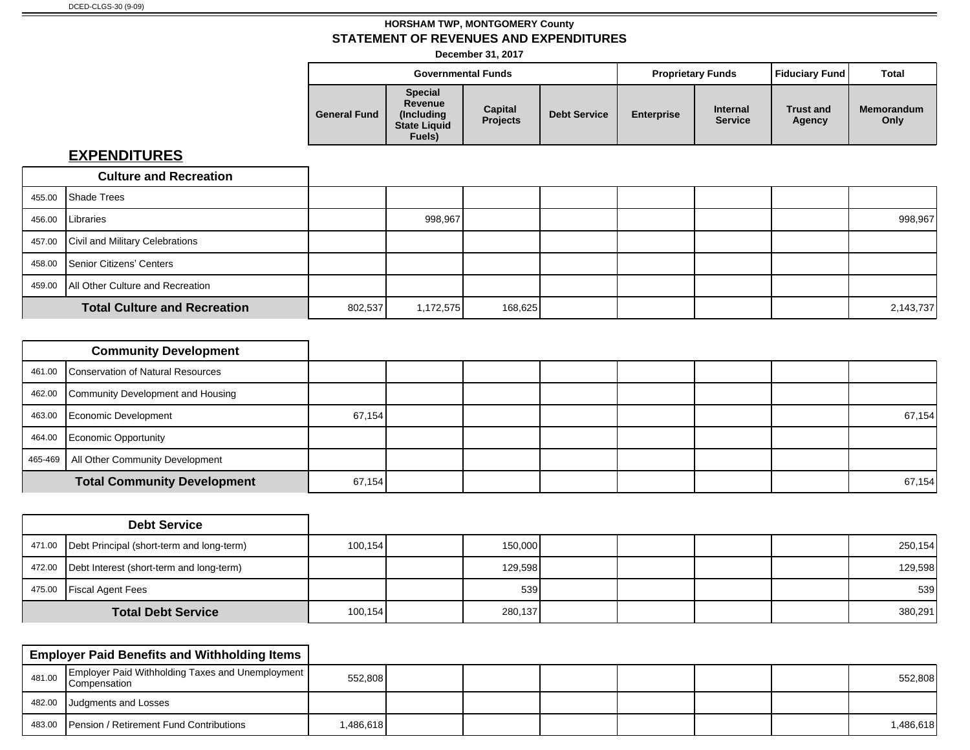**December 31, 2017**

|                     | <b>Governmental Funds</b><br><b>Special</b><br>Revenue<br>Capital<br>(Includina)<br><b>Projects</b><br><b>State Liquid</b> |  |                     | <b>Proprietary Funds</b> |                                   | Fiduciary Fund             | Total                     |
|---------------------|----------------------------------------------------------------------------------------------------------------------------|--|---------------------|--------------------------|-----------------------------------|----------------------------|---------------------------|
| <b>General Fund</b> | Fuels)                                                                                                                     |  | <b>Debt Service</b> | <b>Enterprise</b>        | <b>Internal</b><br><b>Service</b> | <b>Trust and</b><br>Agency | <b>Memorandum</b><br>Only |

| <b>Culture and Recreation</b>             |         |           |         |  |  |           |
|-------------------------------------------|---------|-----------|---------|--|--|-----------|
| 455.00 Shade Trees                        |         |           |         |  |  |           |
| 456.00   Libraries                        |         | 998,967   |         |  |  | 998,967   |
| 457.00 Civil and Military Celebrations    |         |           |         |  |  |           |
| 458.00 Senior Citizens' Centers           |         |           |         |  |  |           |
| 459.00   All Other Culture and Recreation |         |           |         |  |  |           |
| <b>Total Culture and Recreation</b>       | 802,537 | 1,172,575 | 168,625 |  |  | 2,143,737 |

| <b>Community Development</b>              |        |        |  |  |        |
|-------------------------------------------|--------|--------|--|--|--------|
| 461.00 Conservation of Natural Resources  |        |        |  |  |        |
| 462.00 Community Development and Housing  |        |        |  |  |        |
| 463.00 Economic Development               | 67,154 |        |  |  | 67,154 |
| 464.00 Economic Opportunity               |        |        |  |  |        |
| 465-469   All Other Community Development |        |        |  |  |        |
| <b>Total Community Development</b>        |        | 67,154 |  |  | 67,154 |

|                           | <b>Debt Service</b>                                |          |         |  |  |         |
|---------------------------|----------------------------------------------------|----------|---------|--|--|---------|
|                           | 471.00   Debt Principal (short-term and long-term) | 100, 154 | 150,000 |  |  | 250,154 |
|                           | 472.00   Debt Interest (short-term and long-term)  |          | 129,598 |  |  | 129,598 |
|                           | 475.00 Fiscal Agent Fees                           |          | 539     |  |  | 539     |
| <b>Total Debt Service</b> |                                                    | 100, 154 | 280,137 |  |  | 380,291 |

|        | <b>Employer Paid Benefits and Withholding Items</b>                       |           |  |  |  |           |
|--------|---------------------------------------------------------------------------|-----------|--|--|--|-----------|
| 481.00 | Employer Paid Withholding Taxes and Unemployment  <br><b>Compensation</b> | 552,808   |  |  |  | 552,808   |
|        | 482.00 Judgments and Losses                                               |           |  |  |  |           |
| 483.00 | <b>Pension / Retirement Fund Contributions</b>                            | 1,486,618 |  |  |  | 1,486,618 |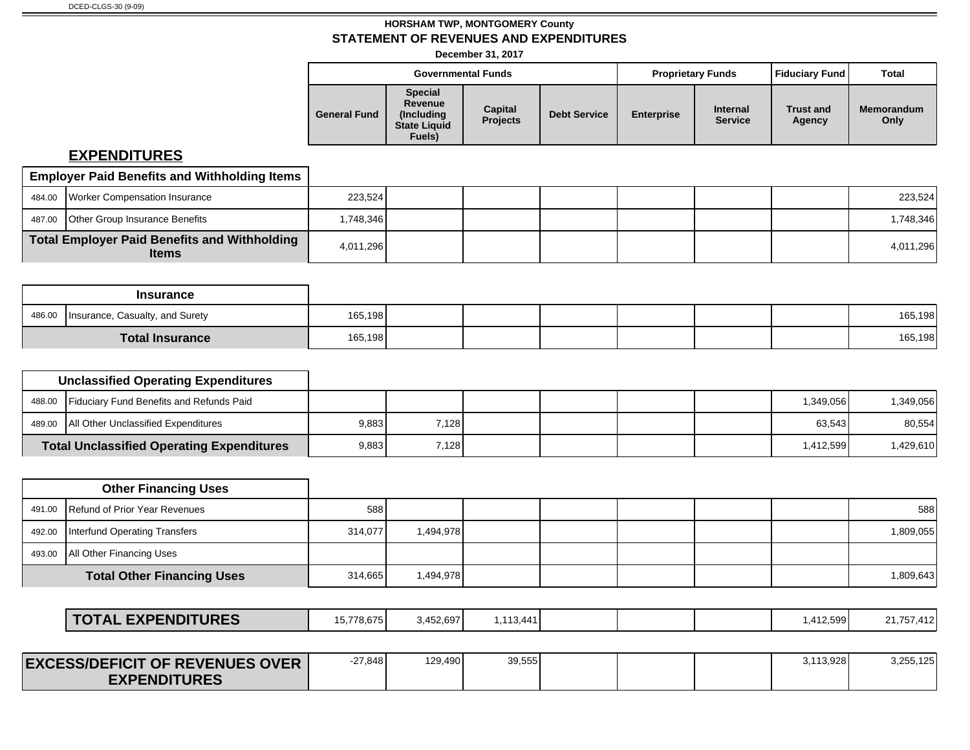**December 31, 2017**

|                     |                                                                          | <b>Governmental Funds</b>  |                     |                   | <b>Proprietary Funds</b>          | <b>Fiduciary Fund</b>      | Total                     |
|---------------------|--------------------------------------------------------------------------|----------------------------|---------------------|-------------------|-----------------------------------|----------------------------|---------------------------|
| <b>General Fund</b> | <b>Special</b><br>Revenue<br>(Including<br><b>State Liquid</b><br>Fuels) | Capital<br><b>Projects</b> | <b>Debt Service</b> | <b>Enterprise</b> | <b>Internal</b><br><b>Service</b> | <b>Trust and</b><br>Agency | <b>Memorandum</b><br>Only |

| <b>Employer Paid Benefits and Withholding Items</b>          |           |  |  |  |           |
|--------------------------------------------------------------|-----------|--|--|--|-----------|
| 484.00 Worker Compensation Insurance                         | 223,524   |  |  |  | 223,524   |
| 487.00 <b>Other Group Insurance Benefits</b>                 | .748.346  |  |  |  | 1,748,346 |
| Total Employer Paid Benefits and Withholding<br><b>Items</b> | 4,011,296 |  |  |  | 4,011,296 |

|        | <b>Insurance</b>                |         |  |  |  |         |
|--------|---------------------------------|---------|--|--|--|---------|
| 486.00 | Insurance, Casualty, and Surety | 165,198 |  |  |  | 165,198 |
|        | <b>Total Insurance</b>          | 165,198 |  |  |  | 165,198 |

| <b>Unclassified Operating Expenditures</b>       |       |        |  |  |                    |            |
|--------------------------------------------------|-------|--------|--|--|--------------------|------------|
| 488.00 Fiduciary Fund Benefits and Refunds Paid  |       |        |  |  | 1,349,056          | 349,056. ا |
| 489.00   All Other Unclassified Expenditures     | 9,883 | 7.1281 |  |  | 63.543             | 80,554     |
| <b>Total Unclassified Operating Expenditures</b> | 9,883 | 7.1281 |  |  | 1.412.599 <b>I</b> | ,429,610   |

| <b>Other Financing Uses</b>          |         |           |  |  |           |
|--------------------------------------|---------|-----------|--|--|-----------|
| 491.00 Refund of Prior Year Revenues | 588     |           |  |  | 588       |
| 492.00 Interfund Operating Transfers | 314,077 | 1,494,978 |  |  | 1,809,055 |
| 493.00   All Other Financing Uses    |         |           |  |  |           |
| <b>Total Other Financing Uses</b>    | 314,665 | 1,494,978 |  |  | 1,809,643 |

| <b>EXPENDITURES</b><br>NI AL. | 15,778,675 | 5,452,697 | .113,441، |  | .412,599 | 04.757.440<br>41. / 15<br>ے یہی |
|-------------------------------|------------|-----------|-----------|--|----------|---------------------------------|
|                               |            |           |           |  |          |                                 |

| <b>EXCESS/DEFICIT OF REVENUES OVER</b> | -27,848 | 129.490 | 39,555 |  | 3.113.928 | 3.255.125 |
|----------------------------------------|---------|---------|--------|--|-----------|-----------|
| <b>EXPENDITURES</b>                    |         |         |        |  |           |           |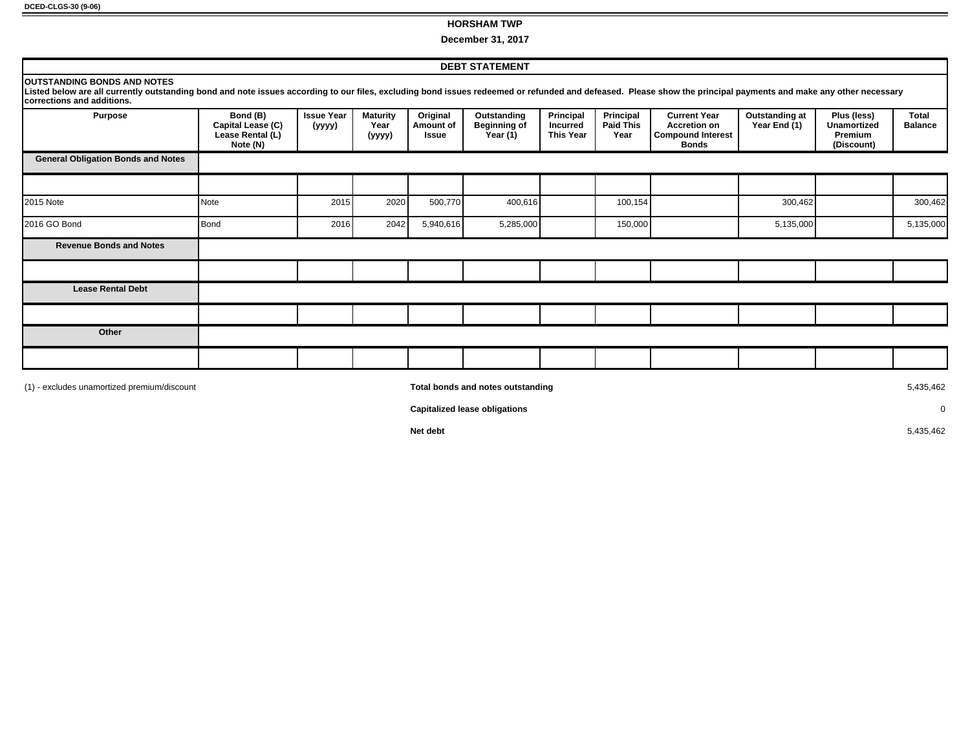**DCED-CLGS-30 (9-06)**

#### **HORSHAM TWP**

**December 31, 2017**

| <b>DEBT STATEMENT</b>                                                                                                                                                                                                                                                                        |                                                               |                             |                                   |                                |                                                |                                                  |                                       |                                                                                        |                                |                                                            |                         |
|----------------------------------------------------------------------------------------------------------------------------------------------------------------------------------------------------------------------------------------------------------------------------------------------|---------------------------------------------------------------|-----------------------------|-----------------------------------|--------------------------------|------------------------------------------------|--------------------------------------------------|---------------------------------------|----------------------------------------------------------------------------------------|--------------------------------|------------------------------------------------------------|-------------------------|
| <b>OUTSTANDING BONDS AND NOTES</b><br>Listed below are all currently outstanding bond and note issues according to our files, excluding bond issues redeemed or refunded and defeased. Please show the principal payments and make any other necessary<br><b>Icorrections and additions.</b> |                                                               |                             |                                   |                                |                                                |                                                  |                                       |                                                                                        |                                |                                                            |                         |
| <b>Purpose</b>                                                                                                                                                                                                                                                                               | Bond (B)<br>Capital Lease (C)<br>Lease Rental (L)<br>Note (N) | <b>Issue Year</b><br>(yyyy) | <b>Maturity</b><br>Year<br>(yyyy) | Original<br>Amount of<br>Issue | Outstanding<br><b>Beginning of</b><br>Year (1) | Principal<br><b>Incurred</b><br><b>This Year</b> | Principal<br><b>Paid This</b><br>Year | <b>Current Year</b><br><b>Accretion on</b><br><b>Compound Interest</b><br><b>Bonds</b> | Outstanding at<br>Year End (1) | Plus (less)<br><b>Unamortized</b><br>Premium<br>(Discount) | Total<br><b>Balance</b> |
| <b>General Obligation Bonds and Notes</b>                                                                                                                                                                                                                                                    |                                                               |                             |                                   |                                |                                                |                                                  |                                       |                                                                                        |                                |                                                            |                         |
|                                                                                                                                                                                                                                                                                              |                                                               |                             |                                   |                                |                                                |                                                  |                                       |                                                                                        |                                |                                                            |                         |
| 2015 Note                                                                                                                                                                                                                                                                                    | Note                                                          | 2015                        | 2020                              | 500,770                        | 400,616                                        |                                                  | 100,154                               |                                                                                        | 300,462                        |                                                            | 300,462                 |
| 2016 GO Bond                                                                                                                                                                                                                                                                                 | Bond                                                          | 2016                        | 2042                              | 5,940,616                      | 5,285,000                                      |                                                  | 150,000                               |                                                                                        | 5,135,000                      |                                                            | 5,135,000               |
| <b>Revenue Bonds and Notes</b>                                                                                                                                                                                                                                                               |                                                               |                             |                                   |                                |                                                |                                                  |                                       |                                                                                        |                                |                                                            |                         |
|                                                                                                                                                                                                                                                                                              |                                                               |                             |                                   |                                |                                                |                                                  |                                       |                                                                                        |                                |                                                            |                         |
| <b>Lease Rental Debt</b>                                                                                                                                                                                                                                                                     |                                                               |                             |                                   |                                |                                                |                                                  |                                       |                                                                                        |                                |                                                            |                         |
|                                                                                                                                                                                                                                                                                              |                                                               |                             |                                   |                                |                                                |                                                  |                                       |                                                                                        |                                |                                                            |                         |
| Other                                                                                                                                                                                                                                                                                        |                                                               |                             |                                   |                                |                                                |                                                  |                                       |                                                                                        |                                |                                                            |                         |
|                                                                                                                                                                                                                                                                                              |                                                               |                             |                                   |                                |                                                |                                                  |                                       |                                                                                        |                                |                                                            |                         |
| (1) - excludes unamortized premium/discount                                                                                                                                                                                                                                                  |                                                               |                             |                                   |                                | Total bonds and notes outstanding              |                                                  |                                       |                                                                                        |                                |                                                            | 5,435,462               |

**Capitalized lease obligations** 0

**Net debt** 5,435,462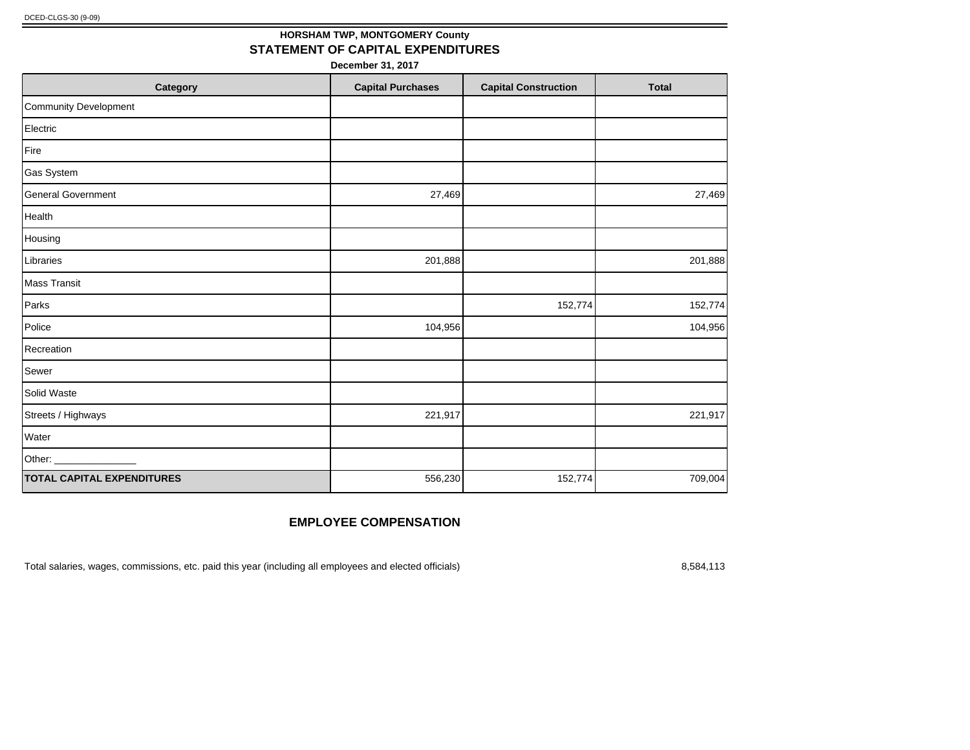## **HORSHAM TWP, MONTGOMERY County STATEMENT OF CAPITAL EXPENDITURES**

**December 31, 2017**

| Category                          | <b>Capital Purchases</b> | <b>Capital Construction</b> | <b>Total</b> |
|-----------------------------------|--------------------------|-----------------------------|--------------|
| Community Development             |                          |                             |              |
| Electric                          |                          |                             |              |
| Fire                              |                          |                             |              |
| Gas System                        |                          |                             |              |
| <b>General Government</b>         | 27,469                   |                             | 27,469       |
| Health                            |                          |                             |              |
| Housing                           |                          |                             |              |
| Libraries                         | 201,888                  |                             | 201,888      |
| Mass Transit                      |                          |                             |              |
| Parks                             |                          | 152,774                     | 152,774      |
| Police                            | 104,956                  |                             | 104,956      |
| Recreation                        |                          |                             |              |
| Sewer                             |                          |                             |              |
| Solid Waste                       |                          |                             |              |
| Streets / Highways                | 221,917                  |                             | 221,917      |
| Water                             |                          |                             |              |
| Other: _                          |                          |                             |              |
| <b>TOTAL CAPITAL EXPENDITURES</b> | 556,230                  | 152,774                     | 709,004      |

#### **EMPLOYEE COMPENSATION**

Total salaries, wages, commissions, etc. paid this year (including all employees and elected officials) 8,584,113